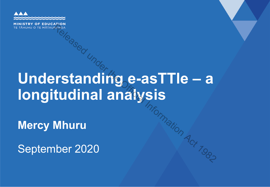

# **Understanding e-asTTle – a longitudinal analysis** Relations,  $R_{\text{R}}$ <br>**Relation Conduct 11 and 1981s**<br>**Mhuru**<br>Mhuru<br>Ner 2020

**Mercy Mhuru** 

September 2020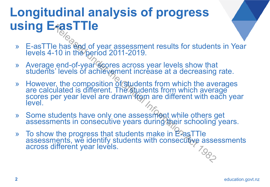## **Longitudinal analysis of progress using E-asTTle**

- » E-asTTle has end of year assessment results for students in Year levels 4-10 in the period 2011-2019.
- » Average end-of-year scores across year levels show that students' levels of achievement increase at a decreasing rate.
- » However, the composition of students from which the averages are calculated is different. The students from which average scores per year level are drawn from are different with each year level. **Pass IIIE**<br>
Le has end of year assessment results for student<br>
10 in the period 2011-2019.<br>
end-of-year cores across year levels show that<br>
i'levels of achievement increase at a decreasing<br>
it, the composition of student
- » Some students have only one assessment while others get assessments in consecutive years during their schooling years.
- » To show the progress that students make in E-asTTle assessments, we identify students with consecutive assessments across different year levels.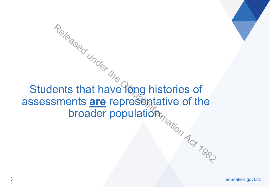$A_{\text{eq}}$ <br>Students that have long histories of assessments are representative of the broader population.  $R_{\text{e}}$ <br>
ents that have long histories of<br>
sments **are** representative of the<br>
broader population  $A_{\text{c}}$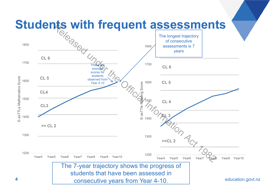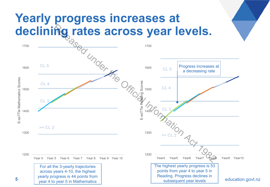#### **Yearly progress increases at declining rates across year levels.**

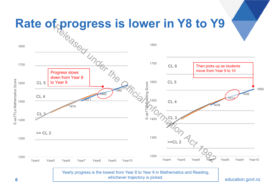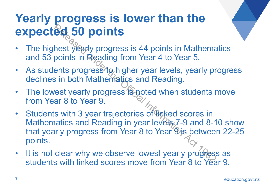#### **Yearly progress is lower than the expected 50 points**

- The highest yearly progress is 44 points in Mathematics and 53 points in Reading from Year 4 to Year 5.
- As students progress to higher year levels, yearly progress declines in both Mathematics and Reading.
- The lowest yearly progress is noted when students move from Year 8 to Year 9.
- Students with 3 year trajectories of Inked scores in Mathematics and Reading in year levels 7-9 and 8-10 show that yearly progress from Year 8 to Year 9/is between 22-25 points. **Example 10 Do ints**<br>
hest yearly progress is 44 points in Mathema<br>
points in Reading from Year 4 to Year 5.<br>
ents progress to higher year levels, yearly pr<br>
is in both Mathematics and Reading.<br>
lest yearly progress is not
- It is not clear why we observe lowest yearly progress as students with linked scores move from Year 8 to Year 9.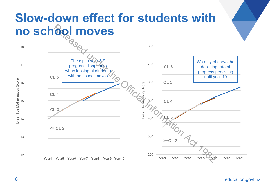#### **Slow-down effect for students with no school moves**

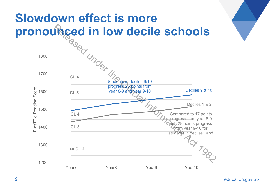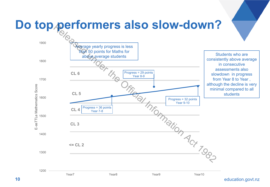

education.govt.nz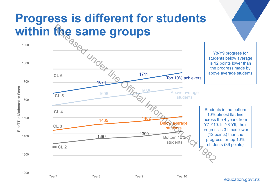#### **Progress is different for students within the same groups**



education.govt.nz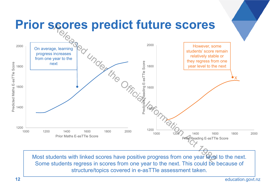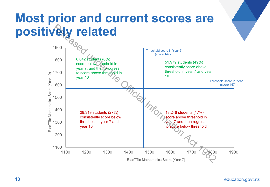#### **Most prior and current scores are positively related**